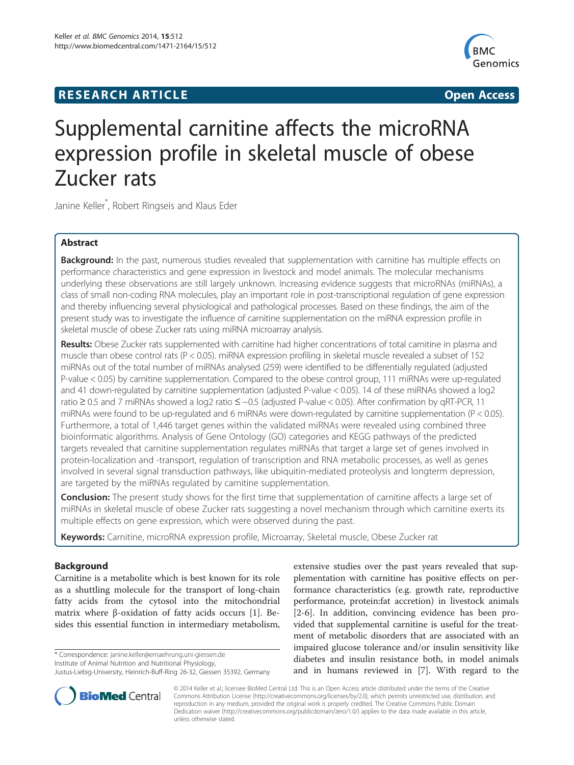## **RESEARCH ARTICLE Example 2014 12:30 The SEAR CH ACCESS**



# Supplemental carnitine affects the microRNA expression profile in skeletal muscle of obese Zucker rats

Janine Keller\* , Robert Ringseis and Klaus Eder

## Abstract

Background: In the past, numerous studies revealed that supplementation with carnitine has multiple effects on performance characteristics and gene expression in livestock and model animals. The molecular mechanisms underlying these observations are still largely unknown. Increasing evidence suggests that microRNAs (miRNAs), a class of small non-coding RNA molecules, play an important role in post-transcriptional regulation of gene expression and thereby influencing several physiological and pathological processes. Based on these findings, the aim of the present study was to investigate the influence of carnitine supplementation on the miRNA expression profile in skeletal muscle of obese Zucker rats using miRNA microarray analysis.

Results: Obese Zucker rats supplemented with carnitine had higher concentrations of total carnitine in plasma and muscle than obese control rats (P < 0.05). miRNA expression profiling in skeletal muscle revealed a subset of 152 miRNAs out of the total number of miRNAs analysed (259) were identified to be differentially regulated (adjusted P-value < 0.05) by carnitine supplementation. Compared to the obese control group, 111 miRNAs were up-regulated and 41 down-regulated by carnitine supplementation (adjusted P-value < 0.05). 14 of these miRNAs showed a log2 ratio ≥ 0.5 and 7 miRNAs showed a log2 ratio ≤ −0.5 (adjusted P-value < 0.05). After confirmation by qRT-PCR, 11 miRNAs were found to be up-regulated and 6 miRNAs were down-regulated by carnitine supplementation (P < 0.05). Furthermore, a total of 1,446 target genes within the validated miRNAs were revealed using combined three bioinformatic algorithms. Analysis of Gene Ontology (GO) categories and KEGG pathways of the predicted targets revealed that carnitine supplementation regulates miRNAs that target a large set of genes involved in protein-localization and -transport, regulation of transcription and RNA metabolic processes, as well as genes involved in several signal transduction pathways, like ubiquitin-mediated proteolysis and longterm depression, are targeted by the miRNAs regulated by carnitine supplementation.

**Conclusion:** The present study shows for the first time that supplementation of carnitine affects a large set of miRNAs in skeletal muscle of obese Zucker rats suggesting a novel mechanism through which carnitine exerts its multiple effects on gene expression, which were observed during the past.

Keywords: Carnitine, microRNA expression profile, Microarray, Skeletal muscle, Obese Zucker rat

## Background

Carnitine is a metabolite which is best known for its role as a shuttling molecule for the transport of long-chain fatty acids from the cytosol into the mitochondrial matrix where β-oxidation of fatty acids occurs [\[1](#page-14-0)]. Besides this essential function in intermediary metabolism,

\* Correspondence: [janine.keller@ernaehrung.uni-giessen.de](mailto:janine.keller@ernaehrung.uni-giessen.de)

Institute of Animal Nutrition and Nutritional Physiology,

extensive studies over the past years revealed that supplementation with carnitine has positive effects on performance characteristics (e.g. growth rate, reproductive performance, protein:fat accretion) in livestock animals [[2-6](#page-14-0)]. In addition, convincing evidence has been provided that supplemental carnitine is useful for the treatment of metabolic disorders that are associated with an impaired glucose tolerance and/or insulin sensitivity like diabetes and insulin resistance both, in model animals and in humans reviewed in [[7\]](#page-14-0). With regard to the



© 2014 Keller et al.; licensee BioMed Central Ltd. This is an Open Access article distributed under the terms of the Creative Commons Attribution License [\(http://creativecommons.org/licenses/by/2.0\)](http://creativecommons.org/licenses/by/2.0), which permits unrestricted use, distribution, and reproduction in any medium, provided the original work is properly credited. The Creative Commons Public Domain Dedication waiver [\(http://creativecommons.org/publicdomain/zero/1.0/](http://creativecommons.org/publicdomain/zero/1.0/)) applies to the data made available in this article, unless otherwise stated.

Justus-Liebig-University, Heinrich-Buff-Ring 26-32, Giessen 35392, Germany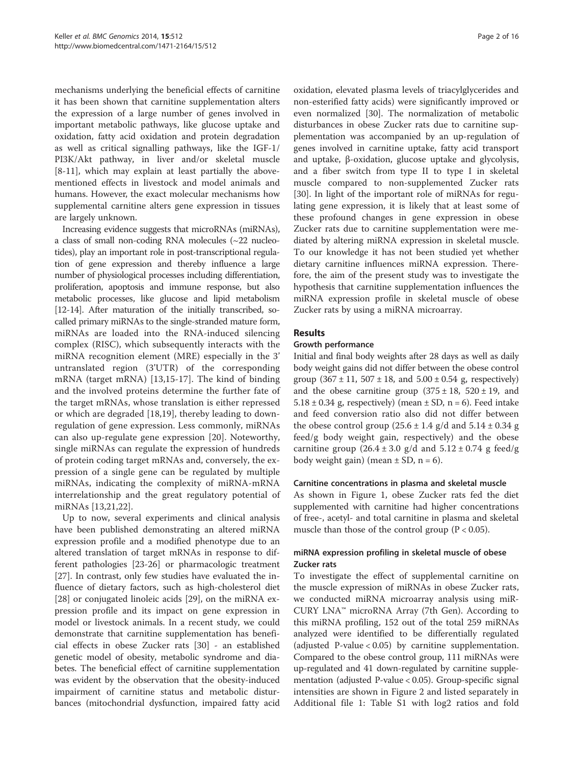mechanisms underlying the beneficial effects of carnitine it has been shown that carnitine supplementation alters the expression of a large number of genes involved in important metabolic pathways, like glucose uptake and oxidation, fatty acid oxidation and protein degradation as well as critical signalling pathways, like the IGF-1/ PI3K/Akt pathway, in liver and/or skeletal muscle [[8-11](#page-14-0)], which may explain at least partially the abovementioned effects in livestock and model animals and humans. However, the exact molecular mechanisms how supplemental carnitine alters gene expression in tissues are largely unknown.

Increasing evidence suggests that microRNAs (miRNAs), a class of small non-coding RNA molecules (~22 nucleotides), play an important role in post-transcriptional regulation of gene expression and thereby influence a large number of physiological processes including differentiation, proliferation, apoptosis and immune response, but also metabolic processes, like glucose and lipid metabolism [[12](#page-14-0)-[14\]](#page-14-0). After maturation of the initially transcribed, socalled primary miRNAs to the single-stranded mature form, miRNAs are loaded into the RNA-induced silencing complex (RISC), which subsequently interacts with the miRNA recognition element (MRE) especially in the 3' untranslated region (3'UTR) of the corresponding mRNA (target mRNA) [[13,15-17](#page-14-0)]. The kind of binding and the involved proteins determine the further fate of the target mRNAs, whose translation is either repressed or which are degraded [[18,19\]](#page-14-0), thereby leading to downregulation of gene expression. Less commonly, miRNAs can also up-regulate gene expression [[20\]](#page-14-0). Noteworthy, single miRNAs can regulate the expression of hundreds of protein coding target mRNAs and, conversely, the expression of a single gene can be regulated by multiple miRNAs, indicating the complexity of miRNA-mRNA interrelationship and the great regulatory potential of miRNAs [\[13,21](#page-14-0),[22\]](#page-14-0).

Up to now, several experiments and clinical analysis have been published demonstrating an altered miRNA expression profile and a modified phenotype due to an altered translation of target mRNAs in response to different pathologies [\[23-26](#page-14-0)] or pharmacologic treatment [[27\]](#page-14-0). In contrast, only few studies have evaluated the influence of dietary factors, such as high-cholesterol diet [[28\]](#page-14-0) or conjugated linoleic acids [\[29](#page-14-0)], on the miRNA expression profile and its impact on gene expression in model or livestock animals. In a recent study, we could demonstrate that carnitine supplementation has beneficial effects in obese Zucker rats [\[30](#page-14-0)] - an established genetic model of obesity, metabolic syndrome and diabetes. The beneficial effect of carnitine supplementation was evident by the observation that the obesity-induced impairment of carnitine status and metabolic disturbances (mitochondrial dysfunction, impaired fatty acid

oxidation, elevated plasma levels of triacylglycerides and non-esterified fatty acids) were significantly improved or even normalized [[30](#page-14-0)]. The normalization of metabolic disturbances in obese Zucker rats due to carnitine supplementation was accompanied by an up-regulation of genes involved in carnitine uptake, fatty acid transport and uptake, β-oxidation, glucose uptake and glycolysis, and a fiber switch from type II to type I in skeletal muscle compared to non-supplemented Zucker rats [[30\]](#page-14-0). In light of the important role of miRNAs for regulating gene expression, it is likely that at least some of these profound changes in gene expression in obese Zucker rats due to carnitine supplementation were mediated by altering miRNA expression in skeletal muscle. To our knowledge it has not been studied yet whether dietary carnitine influences miRNA expression. Therefore, the aim of the present study was to investigate the hypothesis that carnitine supplementation influences the miRNA expression profile in skeletal muscle of obese Zucker rats by using a miRNA microarray.

## Results

#### Growth performance

Initial and final body weights after 28 days as well as daily body weight gains did not differ between the obese control group  $(367 \pm 11, 507 \pm 18, \text{ and } 5.00 \pm 0.54 \text{ g}, \text{ respectively})$ and the obese carnitine group  $(375 \pm 18, 520 \pm 19,$  and  $5.18 \pm 0.34$  g, respectively) (mean  $\pm$  SD, n = 6). Feed intake and feed conversion ratio also did not differ between the obese control group  $(25.6 \pm 1.4 \text{ g/d} \text{ and } 5.14 \pm 0.34 \text{ g})$ feed/g body weight gain, respectively) and the obese carnitine group  $(26.4 \pm 3.0 \text{ g/d} \text{ and } 5.12 \pm 0.74 \text{ g feed/g})$ body weight gain) (mean  $\pm$  SD, n = 6).

#### Carnitine concentrations in plasma and skeletal muscle

As shown in Figure [1,](#page-2-0) obese Zucker rats fed the diet supplemented with carnitine had higher concentrations of free-, acetyl- and total carnitine in plasma and skeletal muscle than those of the control group  $(P < 0.05)$ .

#### miRNA expression profiling in skeletal muscle of obese Zucker rats

To investigate the effect of supplemental carnitine on the muscle expression of miRNAs in obese Zucker rats, we conducted miRNA microarray analysis using miR-CURY LNA™ microRNA Array (7th Gen). According to this miRNA profiling, 152 out of the total 259 miRNAs analyzed were identified to be differentially regulated (adjusted P-value < 0.05) by carnitine supplementation. Compared to the obese control group, 111 miRNAs were up-regulated and 41 down-regulated by carnitine supplementation (adjusted P-value < 0.05). Group-specific signal intensities are shown in Figure [2](#page-3-0) and listed separately in Additional file [1:](#page-13-0) Table S1 with log2 ratios and fold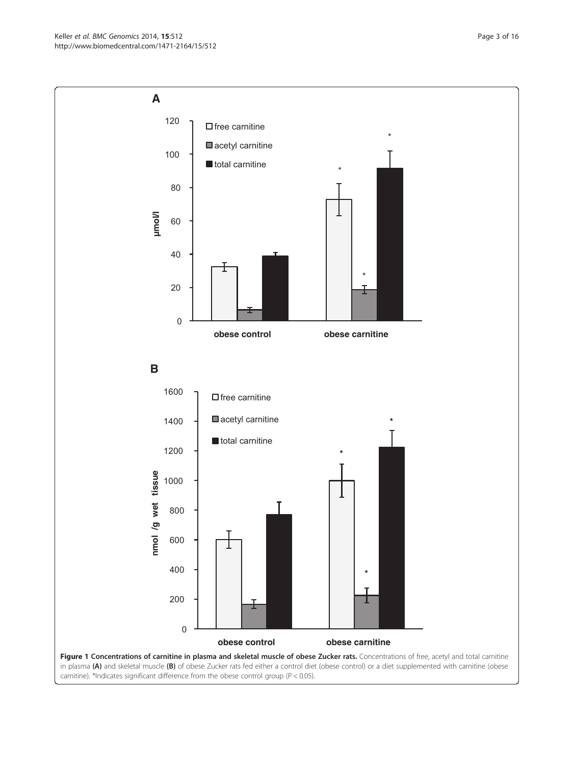<span id="page-2-0"></span>Keller et al. BMC Genomics 2014, 15:512 **Page 3 of 16** Page 3 of 16 http://www.biomedcentral.com/1471-2164/15/512

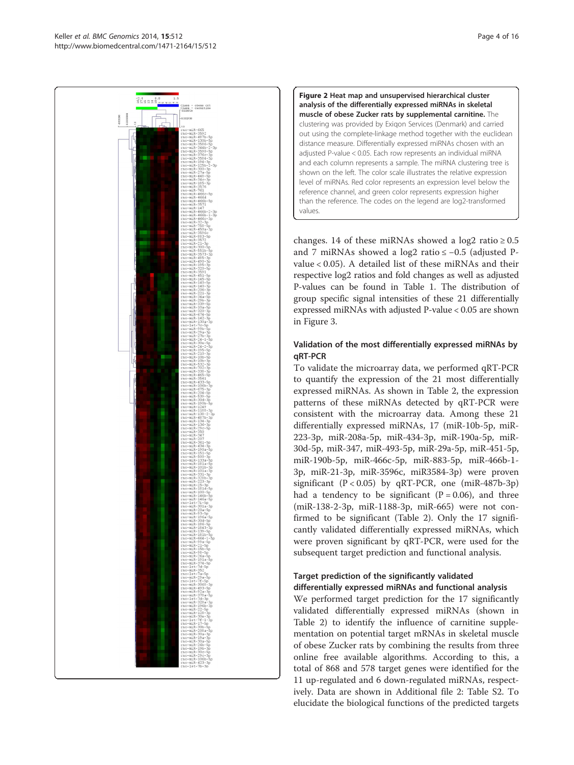<span id="page-3-0"></span>

Figure 2 Heat map and unsupervised hierarchical cluster analysis of the differentially expressed miRNAs in skeletal muscle of obese Zucker rats by supplemental carnitine. The clustering was provided by Exiqon Services (Denmark) and carried out using the complete-linkage method together with the euclidean distance measure. Differentially expressed miRNAs chosen with an adjusted P-value < 0.05. Each row represents an individual miRNA and each column represents a sample. The miRNA clustering tree is shown on the left. The color scale illustrates the relative expression level of miRNAs. Red color represents an expression level below the reference channel, and green color represents expression higher than the reference. The codes on the legend are log2-transformed values.

changes. 14 of these miRNAs showed a log2 ratio  $\geq 0.5$ and 7 miRNAs showed a log2 ratio ≤ −0.5 (adjusted Pvalue < 0.05). A detailed list of these miRNAs and their respective log2 ratios and fold changes as well as adjusted P-values can be found in Table [1](#page-4-0). The distribution of group specific signal intensities of these 21 differentially expressed miRNAs with adjusted P-value < 0.05 are shown in Figure [3.](#page-5-0)

## Validation of the most differentially expressed miRNAs by qRT-PCR

To validate the microarray data, we performed qRT-PCR to quantify the expression of the 21 most differentially expressed miRNAs. As shown in Table [2,](#page-6-0) the expression patterns of these miRNAs detected by qRT-PCR were consistent with the microarray data. Among these 21 differentially expressed miRNAs, 17 (miR-10b-5p, miR-223-3p, miR-208a-5p, miR-434-3p, miR-190a-5p, miR-30d-5p, miR-347, miR-493-5p, miR-29a-5p, miR-451-5p, miR-190b-5p, miR-466c-5p, miR-883-5p, miR-466b-1- 3p, miR-21-3p, miR-3596c, miR3584-3p) were proven significant  $(P < 0.05)$  by qRT-PCR, one (miR-487b-3p) had a tendency to be significant  $(P = 0.06)$ , and three (miR-138-2-3p, miR-1188-3p, miR-665) were not confirmed to be significant (Table [2](#page-6-0)). Only the 17 significantly validated differentially expressed miRNAs, which were proven significant by qRT-PCR, were used for the subsequent target prediction and functional analysis.

## Target prediction of the significantly validated differentially expressed miRNAs and functional analysis

We performed target prediction for the 17 significantly validated differentially expressed miRNAs (shown in Table [2\)](#page-6-0) to identify the influence of carnitine supplementation on potential target mRNAs in skeletal muscle of obese Zucker rats by combining the results from three online free available algorithms. According to this, a total of 868 and 578 target genes were identified for the 11 up-regulated and 6 down-regulated miRNAs, respectively. Data are shown in Additional file [2:](#page-13-0) Table S2. To elucidate the biological functions of the predicted targets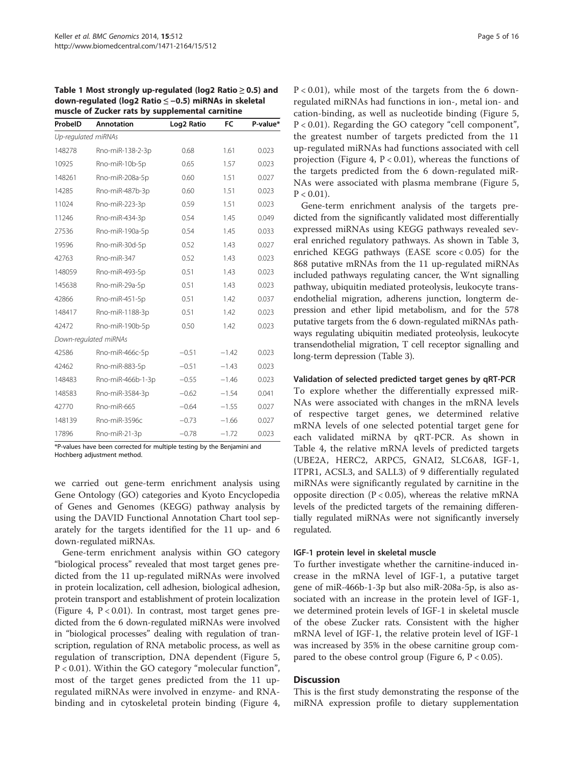<span id="page-4-0"></span>Table 1 Most strongly up-regulated (log2 Ratio ≥ 0.5) and down-regulated (log2 Ratio ≤ −0.5) miRNAs in skeletal muscle of Zucker rats by supplemental carnitine

| ProbelD             | <b>Annotation</b>     | Log2 Ratio | FC      | P-value* |  |  |  |
|---------------------|-----------------------|------------|---------|----------|--|--|--|
| Up-regulated miRNAs |                       |            |         |          |  |  |  |
| 148278              | Rno-miR-138-2-3p      | 0.68       | 1.61    | 0.023    |  |  |  |
| 10925               | Rno-miR-10b-5p        | 0.65       | 1.57    | 0.023    |  |  |  |
| 148261              | Rno-miR-208a-5p       | 0.60       | 1.51    | 0.027    |  |  |  |
| 14285               | Rno-miR-487b-3p       | 0.60       | 1.51    | 0.023    |  |  |  |
| 11024               | Rno-miR-223-3p        | 0.59       | 1.51    | 0.023    |  |  |  |
| 11246               | Rno-miR-434-3p        | 0.54       | 1.45    | 0.049    |  |  |  |
| 27536               | Rno-miR-190a-5p       | 0.54       | 1.45    | 0.033    |  |  |  |
| 19596               | Rno-miR-30d-5p        | 0.52       | 1.43    | 0.027    |  |  |  |
| 42763               | Rno-miR-347           | 0.52       | 1.43    | 0.023    |  |  |  |
| 148059              | Rno-miR-493-5p        | 0.51       | 1.43    | 0.023    |  |  |  |
| 145638              | Rno-miR-29a-5p        | 0.51       | 1.43    | 0.023    |  |  |  |
| 42866               | Rno-miR-451-5p        | 0.51       | 1.42    | 0.037    |  |  |  |
| 148417              | Rno-miR-1188-3p       | 0.51       | 1.42    | 0.023    |  |  |  |
| 42472               | Rno-miR-190b-5p       | 0.50       | 1.42    | 0.023    |  |  |  |
|                     | Down-regulated miRNAs |            |         |          |  |  |  |
| 42586               | Rno-miR-466c-5p       | $-0.51$    | $-1.42$ | 0.023    |  |  |  |
| 42462               | Rno-miR-883-5p        | $-0.51$    | $-1.43$ | 0.023    |  |  |  |
| 148483              | Rno-miR-466b-1-3p     | $-0.55$    | $-1.46$ | 0.023    |  |  |  |
| 148583              | Rno-miR-3584-3p       | $-0.62$    | $-1.54$ | 0.041    |  |  |  |
| 42770               | Rno-miR-665           | $-0.64$    | $-1.55$ | 0.027    |  |  |  |
| 148139              | Rno-miR-3596c         | $-0.73$    | $-1.66$ | 0.027    |  |  |  |
| 17896               | Rno-miR-21-3p         | $-0.78$    | $-1.72$ | 0.023    |  |  |  |
|                     |                       |            |         |          |  |  |  |

\*P-values have been corrected for multiple testing by the Benjamini and Hochberg adjustment method.

we carried out gene-term enrichment analysis using Gene Ontology (GO) categories and Kyoto Encyclopedia of Genes and Genomes (KEGG) pathway analysis by using the DAVID Functional Annotation Chart tool separately for the targets identified for the 11 up- and 6 down-regulated miRNAs.

Gene-term enrichment analysis within GO category "biological process" revealed that most target genes predicted from the 11 up-regulated miRNAs were involved in protein localization, cell adhesion, biological adhesion, protein transport and establishment of protein localization (Figure [4,](#page-7-0)  $P < 0.01$ ). In contrast, most target genes predicted from the 6 down-regulated miRNAs were involved in "biological processes" dealing with regulation of transcription, regulation of RNA metabolic process, as well as regulation of transcription, DNA dependent (Figure [5](#page-8-0), P < 0.01). Within the GO category "molecular function", most of the target genes predicted from the 11 upregulated miRNAs were involved in enzyme- and RNAbinding and in cytoskeletal protein binding (Figure [4](#page-7-0),

 $P < 0.01$ ), while most of the targets from the 6 downregulated miRNAs had functions in ion-, metal ion- and cation-binding, as well as nucleotide binding (Figure [5](#page-8-0), P < 0.01). Regarding the GO category "cell component", the greatest number of targets predicted from the 11 up-regulated miRNAs had functions associated with cell projection (Figure [4](#page-7-0),  $P < 0.01$ ), whereas the functions of the targets predicted from the 6 down-regulated miR-NAs were associated with plasma membrane (Figure [5](#page-8-0),  $P < 0.01$ ).

Gene-term enrichment analysis of the targets predicted from the significantly validated most differentially expressed miRNAs using KEGG pathways revealed several enriched regulatory pathways. As shown in Table [3](#page-9-0), enriched KEGG pathways (EASE score < 0.05) for the 868 putative mRNAs from the 11 up-regulated miRNAs included pathways regulating cancer, the Wnt signalling pathway, ubiquitin mediated proteolysis, leukocyte transendothelial migration, adherens junction, longterm depression and ether lipid metabolism, and for the 578 putative targets from the 6 down-regulated miRNAs pathways regulating ubiquitin mediated proteolysis, leukocyte transendothelial migration, T cell receptor signalling and long-term depression (Table [3](#page-9-0)).

#### Validation of selected predicted target genes by qRT-PCR

To explore whether the differentially expressed miR-NAs were associated with changes in the mRNA levels of respective target genes, we determined relative mRNA levels of one selected potential target gene for each validated miRNA by qRT-PCR. As shown in Table [4](#page-9-0), the relative mRNA levels of predicted targets (UBE2A, HERC2, ARPC5, GNAI2, SLC6A8, IGF-1, ITPR1, ACSL3, and SALL3) of 9 differentially regulated miRNAs were significantly regulated by carnitine in the opposite direction  $(P < 0.05)$ , whereas the relative mRNA levels of the predicted targets of the remaining differentially regulated miRNAs were not significantly inversely regulated.

#### IGF-1 protein level in skeletal muscle

To further investigate whether the carnitine-induced increase in the mRNA level of IGF-1, a putative target gene of miR-466b-1-3p but also miR-208a-5p, is also associated with an increase in the protein level of IGF-1, we determined protein levels of IGF-1 in skeletal muscle of the obese Zucker rats. Consistent with the higher mRNA level of IGF-1, the relative protein level of IGF-1 was increased by 35% in the obese carnitine group com-pared to the obese control group (Figure [6,](#page-10-0)  $P < 0.05$ ).

#### Discussion

This is the first study demonstrating the response of the miRNA expression profile to dietary supplementation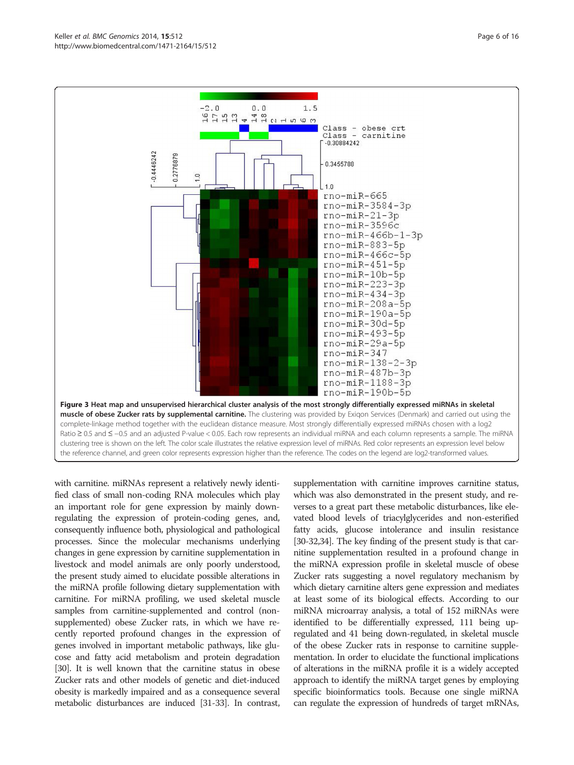with carnitine. miRNAs represent a relatively newly identified class of small non-coding RNA molecules which play an important role for gene expression by mainly downregulating the expression of protein-coding genes, and, consequently influence both, physiological and pathological processes. Since the molecular mechanisms underlying changes in gene expression by carnitine supplementation in livestock and model animals are only poorly understood, the present study aimed to elucidate possible alterations in the miRNA profile following dietary supplementation with carnitine. For miRNA profiling, we used skeletal muscle samples from carnitine-supplemented and control (nonsupplemented) obese Zucker rats, in which we have recently reported profound changes in the expression of genes involved in important metabolic pathways, like glucose and fatty acid metabolism and protein degradation [[30](#page-14-0)]. It is well known that the carnitine status in obese Zucker rats and other models of genetic and diet-induced obesity is markedly impaired and as a consequence several

metabolic disturbances are induced [[31-33\]](#page-14-0). In contrast,

supplementation with carnitine improves carnitine status, which was also demonstrated in the present study, and reverses to a great part these metabolic disturbances, like elevated blood levels of triacylglycerides and non-esterified fatty acids, glucose intolerance and insulin resistance [[30](#page-14-0)-[32,34](#page-14-0)]. The key finding of the present study is that carnitine supplementation resulted in a profound change in the miRNA expression profile in skeletal muscle of obese Zucker rats suggesting a novel regulatory mechanism by which dietary carnitine alters gene expression and mediates at least some of its biological effects. According to our miRNA microarray analysis, a total of 152 miRNAs were identified to be differentially expressed, 111 being upregulated and 41 being down-regulated, in skeletal muscle of the obese Zucker rats in response to carnitine supplementation. In order to elucidate the functional implications of alterations in the miRNA profile it is a widely accepted approach to identify the miRNA target genes by employing specific bioinformatics tools. Because one single miRNA can regulate the expression of hundreds of target mRNAs,

 $rno-miR-190b-5p$ Figure 3 Heat map and unsupervised hierarchical cluster analysis of the most strongly differentially expressed miRNAs in skeletal muscle of obese Zucker rats by supplemental carnitine. The clustering was provided by Exigon Services (Denmark) and carried out using the complete-linkage method together with the euclidean distance measure. Most strongly differentially expressed miRNAs chosen with a log2 Ratio ≥ 0.5 and ≤ -0.5 and an adjusted P-value < 0.05. Each row represents an individual miRNA and each column represents a sample. The miRNA clustering tree is shown on the left. The color scale illustrates the relative expression level of miRNAs. Red color represents an expression level below the reference channel, and green color represents expression higher than the reference. The codes on the legend are log2-transformed values.

<span id="page-5-0"></span>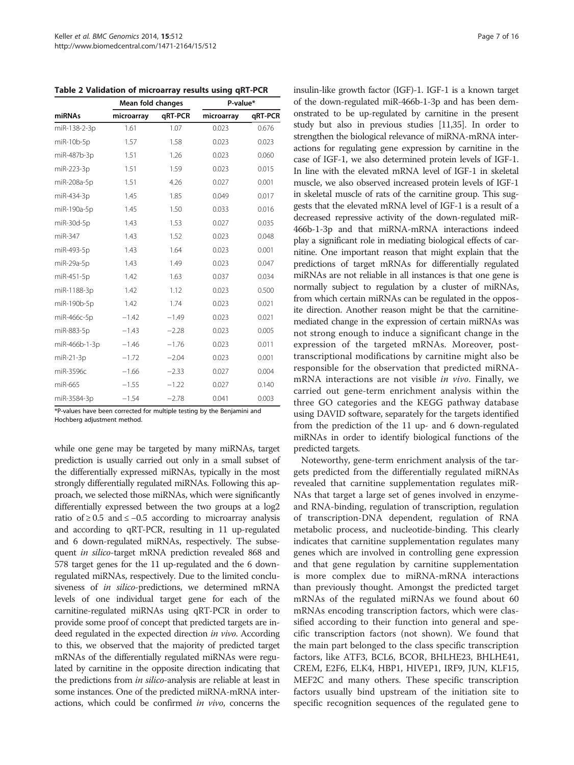<span id="page-6-0"></span>

|  | Table 2 Validation of microarray results using qRT-PCR |  |  |  |  |  |  |
|--|--------------------------------------------------------|--|--|--|--|--|--|
|--|--------------------------------------------------------|--|--|--|--|--|--|

|               | Mean fold changes |         | P-value*   |         |  |
|---------------|-------------------|---------|------------|---------|--|
| miRNAs        | microarray        | qRT-PCR | microarray | qRT-PCR |  |
| miR-138-2-3p  | 1.61              | 1.07    | 0.023      | 0.676   |  |
| miR-10b-5p    | 1.57              | 1.58    | 0.023      | 0.023   |  |
| miR-487b-3p   | 1.51              | 1.26    | 0.023      | 0.060   |  |
| miR-223-3p    | 1.51              | 1.59    | 0.023      | 0.015   |  |
| miR-208a-5p   | 1.51              | 4.26    | 0.027      | 0.001   |  |
| miR-434-3p    | 1.45              | 1.85    | 0.049      | 0.017   |  |
| miR-190a-5p   | 1.45              | 1.50    | 0.033      | 0.016   |  |
| miR-30d-5p    | 1.43              | 1.53    | 0.027      | 0.035   |  |
| miR-347       | 1.43              | 1.52    | 0.023      | 0.048   |  |
| miR-493-5p    | 1.43              | 1.64    | 0.023      | 0.001   |  |
| miR-29a-5p    | 1.43              | 1.49    | 0.023      | 0.047   |  |
| miR-451-5p    | 1.42              | 1.63    | 0.037      | 0.034   |  |
| miR-1188-3p   | 1.42              | 1.12    | 0.023      | 0.500   |  |
| miR-190b-5p   | 1.42              | 1.74    | 0.023      | 0.021   |  |
| miR-466c-5p   | $-1.42$           | $-1.49$ | 0.023      | 0.021   |  |
| miR-883-5p    | $-1.43$           | $-2.28$ | 0.023      | 0.005   |  |
| miR-466b-1-3p | $-1.46$           | $-1.76$ | 0.023      | 0.011   |  |
| miR-21-3p     | $-1.72$           | $-2.04$ | 0.023      | 0.001   |  |
| miR-3596c     | $-1.66$           | $-2.33$ | 0.027      | 0.004   |  |
| miR-665       | $-1.55$           | $-1.22$ | 0.027      | 0.140   |  |
| miR-3584-3p   | $-1.54$           | $-2.78$ | 0.041      | 0.003   |  |

\*P-values have been corrected for multiple testing by the Benjamini and Hochberg adjustment method.

while one gene may be targeted by many miRNAs, target prediction is usually carried out only in a small subset of the differentially expressed miRNAs, typically in the most strongly differentially regulated miRNAs. Following this approach, we selected those miRNAs, which were significantly differentially expressed between the two groups at a log2 ratio of  $≥ 0.5$  and  $≤ -0.5$  according to microarray analysis and according to qRT-PCR, resulting in 11 up-regulated and 6 down-regulated miRNAs, respectively. The subsequent in silico-target mRNA prediction revealed 868 and 578 target genes for the 11 up-regulated and the 6 downregulated miRNAs, respectively. Due to the limited conclusiveness of *in silico-predictions*, we determined mRNA levels of one individual target gene for each of the carnitine-regulated miRNAs using qRT-PCR in order to provide some proof of concept that predicted targets are indeed regulated in the expected direction in vivo. According to this, we observed that the majority of predicted target mRNAs of the differentially regulated miRNAs were regulated by carnitine in the opposite direction indicating that the predictions from in silico-analysis are reliable at least in some instances. One of the predicted miRNA-mRNA interactions, which could be confirmed in vivo, concerns the insulin-like growth factor (IGF)-1. IGF-1 is a known target of the down-regulated miR-466b-1-3p and has been demonstrated to be up-regulated by carnitine in the present study but also in previous studies [\[11,35](#page-14-0)]. In order to strengthen the biological relevance of miRNA-mRNA interactions for regulating gene expression by carnitine in the case of IGF-1, we also determined protein levels of IGF-1. In line with the elevated mRNA level of IGF-1 in skeletal muscle, we also observed increased protein levels of IGF-1 in skeletal muscle of rats of the carnitine group. This suggests that the elevated mRNA level of IGF-1 is a result of a decreased repressive activity of the down-regulated miR-466b-1-3p and that miRNA-mRNA interactions indeed play a significant role in mediating biological effects of carnitine. One important reason that might explain that the predictions of target mRNAs for differentially regulated miRNAs are not reliable in all instances is that one gene is normally subject to regulation by a cluster of miRNAs, from which certain miRNAs can be regulated in the opposite direction. Another reason might be that the carnitinemediated change in the expression of certain miRNAs was not strong enough to induce a significant change in the expression of the targeted mRNAs. Moreover, posttranscriptional modifications by carnitine might also be responsible for the observation that predicted miRNAmRNA interactions are not visible in vivo. Finally, we carried out gene-term enrichment analysis within the three GO categories and the KEGG pathway database using DAVID software, separately for the targets identified from the prediction of the 11 up- and 6 down-regulated miRNAs in order to identify biological functions of the predicted targets.

Noteworthy, gene-term enrichment analysis of the targets predicted from the differentially regulated miRNAs revealed that carnitine supplementation regulates miR-NAs that target a large set of genes involved in enzymeand RNA-binding, regulation of transcription, regulation of transcription-DNA dependent, regulation of RNA metabolic process, and nucleotide-binding. This clearly indicates that carnitine supplementation regulates many genes which are involved in controlling gene expression and that gene regulation by carnitine supplementation is more complex due to miRNA-mRNA interactions than previously thought. Amongst the predicted target mRNAs of the regulated miRNAs we found about 60 mRNAs encoding transcription factors, which were classified according to their function into general and specific transcription factors (not shown). We found that the main part belonged to the class specific transcription factors, like ATF3, BCL6, BCOR, BHLHE23, BHLHE41, CREM, E2F6, ELK4, HBP1, HIVEP1, IRF9, JUN, KLF15, MEF2C and many others. These specific transcription factors usually bind upstream of the initiation site to specific recognition sequences of the regulated gene to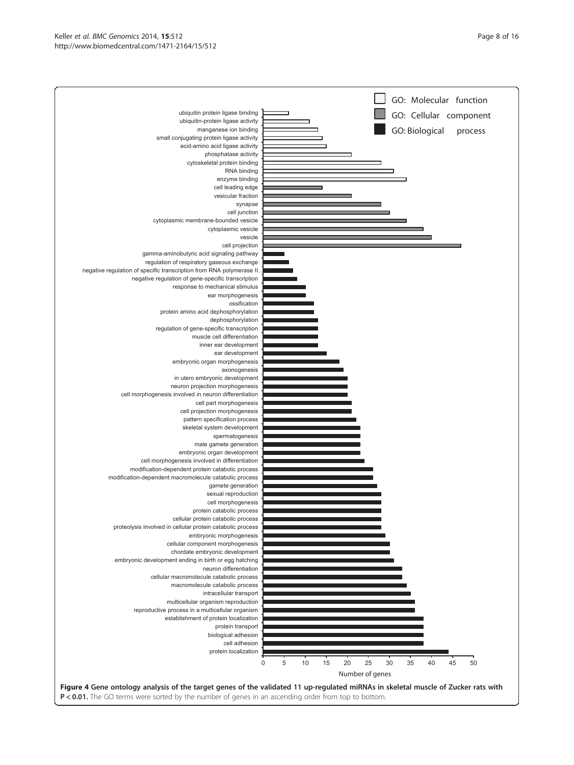<span id="page-7-0"></span>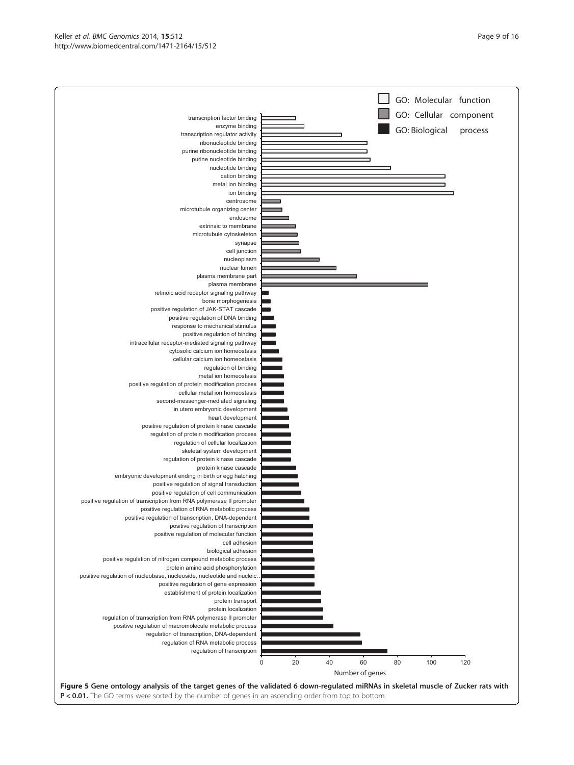<span id="page-8-0"></span>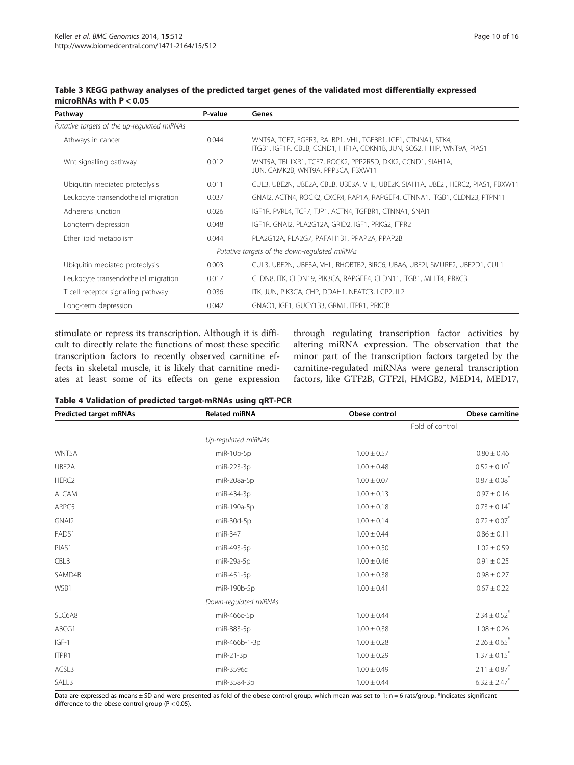| Pathway                                       | P-value | Genes                                                                                                                                   |  |  |
|-----------------------------------------------|---------|-----------------------------------------------------------------------------------------------------------------------------------------|--|--|
| Putative targets of the up-regulated miRNAs   |         |                                                                                                                                         |  |  |
| Athways in cancer                             | 0.044   | WNT5A, TCF7, FGFR3, RALBP1, VHL, TGFBR1, IGF1, CTNNA1, STK4,<br>ITGB1, IGF1R, CBLB, CCND1, HIF1A, CDKN1B, JUN, SOS2, HHIP, WNT9A, PIAS1 |  |  |
| Wnt signalling pathway                        | 0.012   | WNT5A, TBL1XR1, TCF7, ROCK2, PPP2R5D, DKK2, CCND1, SIAH1A,<br>JUN, CAMK2B, WNT9A, PPP3CA, FBXW11                                        |  |  |
| Ubiquitin mediated proteolysis                | 0.011   | CUL3, UBE2N, UBE2A, CBLB, UBE3A, VHL, UBE2K, SIAH1A, UBE2I, HERC2, PIAS1, FBXW11                                                        |  |  |
| Leukocyte transendothelial migration          | 0.037   | GNAI2, ACTN4, ROCK2, CXCR4, RAP1A, RAPGEF4, CTNNA1, ITGB1, CLDN23, PTPN11                                                               |  |  |
| Adherens junction                             | 0.026   | IGF1R, PVRL4, TCF7, TJP1, ACTN4, TGFBR1, CTNNA1, SNAI1                                                                                  |  |  |
| Longterm depression                           | 0.048   | IGF1R, GNAI2, PLA2G12A, GRID2, IGF1, PRKG2, ITPR2                                                                                       |  |  |
| Ether lipid metabolism                        | 0.044   | PLA2G12A, PLA2G7, PAFAH1B1, PPAP2A, PPAP2B                                                                                              |  |  |
| Putative targets of the down-regulated miRNAs |         |                                                                                                                                         |  |  |
| Ubiquitin mediated proteolysis                | 0.003   | CUL3, UBE2N, UBE3A, VHL, RHOBTB2, BIRC6, UBA6, UBE2I, SMURF2, UBE2D1, CUL1                                                              |  |  |
| Leukocyte transendothelial migration          | 0.017   | CLDN8, ITK, CLDN19, PIK3CA, RAPGEF4, CLDN11, ITGB1, MLLT4, PRKCB                                                                        |  |  |
| T cell receptor signalling pathway            | 0.036   | ITK, JUN, PIK3CA, CHP, DDAH1, NFATC3, LCP2, IL2                                                                                         |  |  |
| Long-term depression                          | 0.042   | GNAO1, IGF1, GUCY1B3, GRM1, ITPR1, PRKCB                                                                                                |  |  |

#### <span id="page-9-0"></span>Table 3 KEGG pathway analyses of the predicted target genes of the validated most differentially expressed microRNAs with P < 0.05

stimulate or repress its transcription. Although it is difficult to directly relate the functions of most these specific transcription factors to recently observed carnitine effects in skeletal muscle, it is likely that carnitine mediates at least some of its effects on gene expression

through regulating transcription factor activities by altering miRNA expression. The observation that the minor part of the transcription factors targeted by the carnitine-regulated miRNAs were general transcription factors, like GTF2B, GTF2I, HMGB2, MED14, MED17,

| Table 4 Validation of predicted target-mRNAs using qRT-PCR |  |  |  |
|------------------------------------------------------------|--|--|--|
|------------------------------------------------------------|--|--|--|

| Predicted target mRNAs | <b>Related miRNA</b>  | Obese control   | Obese carnitine              |
|------------------------|-----------------------|-----------------|------------------------------|
|                        |                       | Fold of control |                              |
|                        | Up-regulated miRNAs   |                 |                              |
| WNT5A                  | miR-10b-5p            | $1.00 \pm 0.57$ | $0.80 \pm 0.46$              |
| UBE2A                  | miR-223-3p            | $1.00 \pm 0.48$ | $0.52 \pm 0.10^*$            |
| HERC <sub>2</sub>      | miR-208a-5p           | $1.00 \pm 0.07$ | $0.87 \pm 0.08$ <sup>*</sup> |
| <b>ALCAM</b>           | miR-434-3p            | $1.00 \pm 0.13$ | $0.97 \pm 0.16$              |
| ARPC5                  | miR-190a-5p           | $1.00 \pm 0.18$ | $0.73 \pm 0.14$ <sup>*</sup> |
| GNAI2                  | miR-30d-5p            | $1.00 \pm 0.14$ | $0.72 \pm 0.07$ <sup>*</sup> |
| FADS1                  | miR-347               | $1.00 \pm 0.44$ | $0.86 \pm 0.11$              |
| PIAS1                  | miR-493-5p            | $1.00 \pm 0.50$ | $1.02 \pm 0.59$              |
| CBLB                   | miR-29a-5p            | $1.00 \pm 0.46$ | $0.91 \pm 0.25$              |
| SAMD4B                 | miR-451-5p            | $1.00 \pm 0.38$ | $0.98 \pm 0.27$              |
| WSB1                   | miR-190b-5p           | $1.00 \pm 0.41$ | $0.67 \pm 0.22$              |
|                        | Down-regulated miRNAs |                 |                              |
| SLC6A8                 | miR-466c-5p           | $1.00 \pm 0.44$ | $2.34 \pm 0.52$ <sup>*</sup> |
| ABCG1                  | miR-883-5p            | $1.00 \pm 0.38$ | $1.08 \pm 0.26$              |
| $IGF-1$                | miR-466b-1-3p         | $1.00 \pm 0.28$ | $2.26 \pm 0.65$ <sup>*</sup> |
| ITPR1                  | $miR-21-3p$           | $1.00 \pm 0.29$ | $1.37 \pm 0.15^{*}$          |
| ACSL3                  | miR-3596c             | $1.00 \pm 0.49$ | $2.11 \pm 0.87$ <sup>*</sup> |
| SALL3                  | miR-3584-3p           | $1.00 \pm 0.44$ | $6.32 \pm 2.47$ <sup>*</sup> |

Data are expressed as means ± SD and were presented as fold of the obese control group, which mean was set to 1; n = 6 rats/group. \*Indicates significant difference to the obese control group (P < 0.05).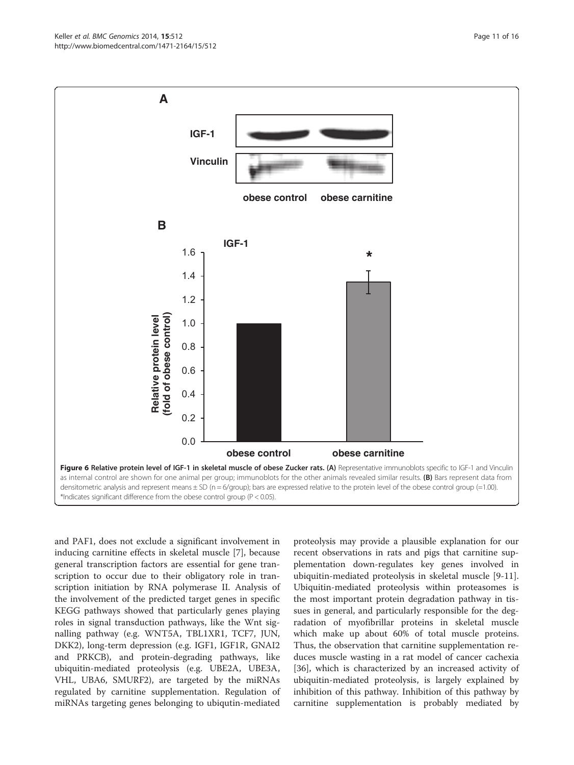<span id="page-10-0"></span>Keller et al. BMC Genomics 2014, 15:512 **Page 11 of 16** Page 11 of 16 http://www.biomedcentral.com/1471-2164/15/512



and PAF1, does not exclude a significant involvement in inducing carnitine effects in skeletal muscle [[7\]](#page-14-0), because general transcription factors are essential for gene transcription to occur due to their obligatory role in transcription initiation by RNA polymerase II. Analysis of the involvement of the predicted target genes in specific KEGG pathways showed that particularly genes playing roles in signal transduction pathways, like the Wnt signalling pathway (e.g. WNT5A, TBL1XR1, TCF7, JUN, DKK2), long-term depression (e.g. IGF1, IGF1R, GNAI2 and PRKCB), and protein-degrading pathways, like ubiquitin-mediated proteolysis (e.g. UBE2A, UBE3A, VHL, UBA6, SMURF2), are targeted by the miRNAs regulated by carnitine supplementation. Regulation of miRNAs targeting genes belonging to ubiqutin-mediated

proteolysis may provide a plausible explanation for our recent observations in rats and pigs that carnitine supplementation down-regulates key genes involved in ubiquitin-mediated proteolysis in skeletal muscle [[9-11](#page-14-0)]. Ubiquitin-mediated proteolysis within proteasomes is the most important protein degradation pathway in tissues in general, and particularly responsible for the degradation of myofibrillar proteins in skeletal muscle which make up about 60% of total muscle proteins. Thus, the observation that carnitine supplementation reduces muscle wasting in a rat model of cancer cachexia [[36\]](#page-14-0), which is characterized by an increased activity of ubiquitin-mediated proteolysis, is largely explained by inhibition of this pathway. Inhibition of this pathway by carnitine supplementation is probably mediated by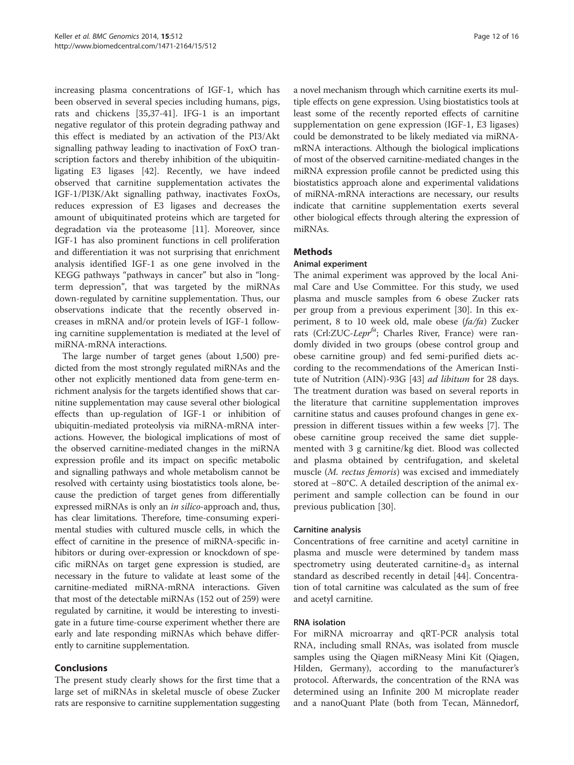increasing plasma concentrations of IGF-1, which has been observed in several species including humans, pigs, rats and chickens [[35,37](#page-14-0)[-41](#page-15-0)]. IFG-1 is an important negative regulator of this protein degrading pathway and this effect is mediated by an activation of the PI3/Akt signalling pathway leading to inactivation of FoxO transcription factors and thereby inhibition of the ubiquitinligating E3 ligases [\[42\]](#page-15-0). Recently, we have indeed observed that carnitine supplementation activates the IGF-1/PI3K/Akt signalling pathway, inactivates FoxOs, reduces expression of E3 ligases and decreases the amount of ubiquitinated proteins which are targeted for degradation via the proteasome [\[11](#page-14-0)]. Moreover, since IGF-1 has also prominent functions in cell proliferation and differentiation it was not surprising that enrichment analysis identified IGF-1 as one gene involved in the KEGG pathways "pathways in cancer" but also in "longterm depression", that was targeted by the miRNAs down-regulated by carnitine supplementation. Thus, our observations indicate that the recently observed increases in mRNA and/or protein levels of IGF-1 following carnitine supplementation is mediated at the level of miRNA-mRNA interactions.

The large number of target genes (about 1,500) predicted from the most strongly regulated miRNAs and the other not explicitly mentioned data from gene-term enrichment analysis for the targets identified shows that carnitine supplementation may cause several other biological effects than up-regulation of IGF-1 or inhibition of ubiquitin-mediated proteolysis via miRNA-mRNA interactions. However, the biological implications of most of the observed carnitine-mediated changes in the miRNA expression profile and its impact on specific metabolic and signalling pathways and whole metabolism cannot be resolved with certainty using biostatistics tools alone, because the prediction of target genes from differentially expressed miRNAs is only an *in silico*-approach and, thus, has clear limitations. Therefore, time-consuming experimental studies with cultured muscle cells, in which the effect of carnitine in the presence of miRNA-specific inhibitors or during over-expression or knockdown of specific miRNAs on target gene expression is studied, are necessary in the future to validate at least some of the carnitine-mediated miRNA-mRNA interactions. Given that most of the detectable miRNAs (152 out of 259) were regulated by carnitine, it would be interesting to investigate in a future time-course experiment whether there are early and late responding miRNAs which behave differently to carnitine supplementation.

## Conclusions

The present study clearly shows for the first time that a large set of miRNAs in skeletal muscle of obese Zucker rats are responsive to carnitine supplementation suggesting

a novel mechanism through which carnitine exerts its multiple effects on gene expression. Using biostatistics tools at least some of the recently reported effects of carnitine supplementation on gene expression (IGF-1, E3 ligases) could be demonstrated to be likely mediated via miRNAmRNA interactions. Although the biological implications of most of the observed carnitine-mediated changes in the miRNA expression profile cannot be predicted using this biostatistics approach alone and experimental validations of miRNA-mRNA interactions are necessary, our results indicate that carnitine supplementation exerts several other biological effects through altering the expression of miRNAs.

## Methods

## Animal experiment

The animal experiment was approved by the local Animal Care and Use Committee. For this study, we used plasma and muscle samples from 6 obese Zucker rats per group from a previous experiment [[30\]](#page-14-0). In this experiment, 8 to 10 week old, male obese (fa/fa) Zucker rats (Crl:ZUC-Lepr<sup>ta</sup>; Charles River, France) were randomly divided in two groups (obese control group and obese carnitine group) and fed semi-purified diets according to the recommendations of the American Insti-tute of Nutrition (AIN)-93G [[43\]](#page-15-0) *ad libitum* for 28 days. The treatment duration was based on several reports in the literature that carnitine supplementation improves carnitine status and causes profound changes in gene expression in different tissues within a few weeks [[7\]](#page-14-0). The obese carnitine group received the same diet supplemented with 3 g carnitine/kg diet. Blood was collected and plasma obtained by centrifugation, and skeletal muscle (M. rectus femoris) was excised and immediately stored at −80°C. A detailed description of the animal experiment and sample collection can be found in our previous publication [\[30](#page-14-0)].

#### Carnitine analysis

Concentrations of free carnitine and acetyl carnitine in plasma and muscle were determined by tandem mass spectrometry using deuterated carnitine- $d_3$  as internal standard as described recently in detail [[44\]](#page-15-0). Concentration of total carnitine was calculated as the sum of free and acetyl carnitine.

#### RNA isolation

For miRNA microarray and qRT-PCR analysis total RNA, including small RNAs, was isolated from muscle samples using the Qiagen miRNeasy Mini Kit (Qiagen, Hilden, Germany), according to the manufacturer's protocol. Afterwards, the concentration of the RNA was determined using an Infinite 200 M microplate reader and a nanoQuant Plate (both from Tecan, Männedorf,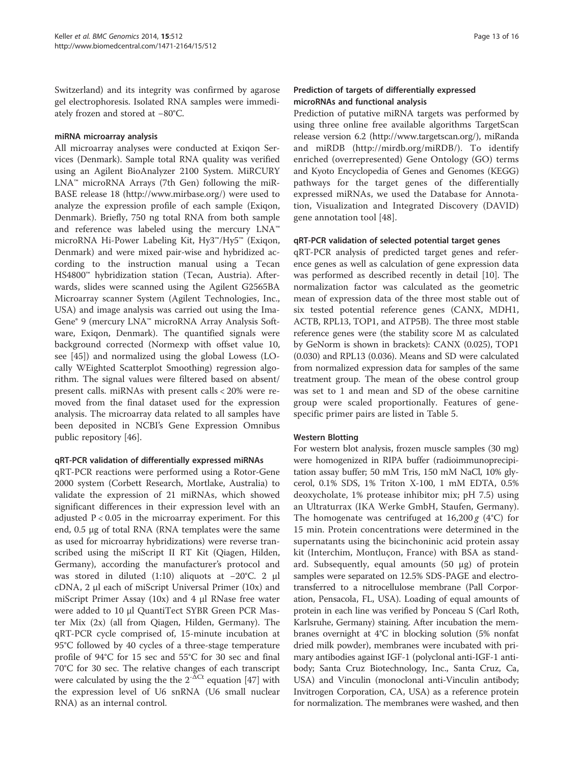Switzerland) and its integrity was confirmed by agarose gel electrophoresis. Isolated RNA samples were immediately frozen and stored at −80°C.

#### miRNA microarray analysis

All microarray analyses were conducted at Exiqon Services (Denmark). Sample total RNA quality was verified using an Agilent BioAnalyzer 2100 System. MiRCURY LNA™ microRNA Arrays (7th Gen) following the miR-BASE release 18 ([http://www.mirbase.org/\)](http://www.mirbase.org/) were used to analyze the expression profile of each sample (Exiqon, Denmark). Briefly, 750 ng total RNA from both sample and reference was labeled using the mercury LNA™ microRNA Hi-Power Labeling Kit, Hy3™/Hy5™ (Exiqon, Denmark) and were mixed pair-wise and hybridized according to the instruction manual using a Tecan HS4800™ hybridization station (Tecan, Austria). Afterwards, slides were scanned using the Agilent G2565BA Microarray scanner System (Agilent Technologies, Inc., USA) and image analysis was carried out using the Ima-Gene® 9 (mercury LNA™ microRNA Array Analysis Software, Exiqon, Denmark). The quantified signals were background corrected (Normexp with offset value 10, see [[45](#page-15-0)]) and normalized using the global Lowess (LOcally WEighted Scatterplot Smoothing) regression algorithm. The signal values were filtered based on absent/ present calls. miRNAs with present calls < 20% were removed from the final dataset used for the expression analysis. The microarray data related to all samples have been deposited in NCBI's Gene Expression Omnibus public repository [[46\]](#page-15-0).

#### qRT-PCR validation of differentially expressed miRNAs

qRT-PCR reactions were performed using a Rotor-Gene 2000 system (Corbett Research, Mortlake, Australia) to validate the expression of 21 miRNAs, which showed significant differences in their expression level with an adjusted  $P < 0.05$  in the microarray experiment. For this end, 0.5 μg of total RNA (RNA templates were the same as used for microarray hybridizations) were reverse transcribed using the miScript II RT Kit (Qiagen, Hilden, Germany), according the manufacturer's protocol and was stored in diluted (1:10) aliquots at −20°C. 2 μl cDNA, 2 μl each of miScript Universal Primer (10x) and miScript Primer Assay (10x) and 4 μl RNase free water were added to 10 μl QuantiTect SYBR Green PCR Master Mix (2x) (all from Qiagen, Hilden, Germany). The qRT-PCR cycle comprised of, 15-minute incubation at 95°C followed by 40 cycles of a three-stage temperature profile of 94°C for 15 sec and 55°C for 30 sec and final 70°C for 30 sec. The relative changes of each transcript were calculated by using the the  $2^{-\Delta Ct}$  equation [[47](#page-15-0)] with the expression level of U6 snRNA (U6 small nuclear RNA) as an internal control.

#### Prediction of targets of differentially expressed microRNAs and functional analysis

Prediction of putative miRNA targets was performed by using three online free available algorithms TargetScan release version 6.2 ([http://www.targetscan.org/\)](http://www.targetscan.org/), miRanda and miRDB ([http://mirdb.org/miRDB/\)](http://mirdb.org/miRDB/). To identify enriched (overrepresented) Gene Ontology (GO) terms and Kyoto Encyclopedia of Genes and Genomes (KEGG) pathways for the target genes of the differentially expressed miRNAs, we used the Database for Annotation, Visualization and Integrated Discovery (DAVID) gene annotation tool [[48\]](#page-15-0).

#### qRT-PCR validation of selected potential target genes

qRT-PCR analysis of predicted target genes and reference genes as well as calculation of gene expression data was performed as described recently in detail [\[10](#page-14-0)]. The normalization factor was calculated as the geometric mean of expression data of the three most stable out of six tested potential reference genes (CANX, MDH1, ACTB, RPL13, TOP1, and ATP5B). The three most stable reference genes were (the stability score M as calculated by GeNorm is shown in brackets): CANX (0.025), TOP1 (0.030) and RPL13 (0.036). Means and SD were calculated from normalized expression data for samples of the same treatment group. The mean of the obese control group was set to 1 and mean and SD of the obese carnitine group were scaled proportionally. Features of genespecific primer pairs are listed in Table [5](#page-13-0).

#### Western Blotting

For western blot analysis, frozen muscle samples (30 mg) were homogenized in RIPA buffer (radioimmunoprecipitation assay buffer; 50 mM Tris, 150 mM NaCl, 10% glycerol, 0.1% SDS, 1% Triton X-100, 1 mM EDTA, 0.5% deoxycholate, 1% protease inhibitor mix; pH 7.5) using an Ultraturrax (IKA Werke GmbH, Staufen, Germany). The homogenate was centrifuged at  $16,200 g$  (4°C) for 15 min. Protein concentrations were determined in the supernatants using the bicinchoninic acid protein assay kit (Interchim, Montluçon, France) with BSA as standard. Subsequently, equal amounts (50 μg) of protein samples were separated on 12.5% SDS-PAGE and electrotransferred to a nitrocellulose membrane (Pall Corporation, Pensacola, FL, USA). Loading of equal amounts of protein in each line was verified by Ponceau S (Carl Roth, Karlsruhe, Germany) staining. After incubation the membranes overnight at 4°C in blocking solution (5% nonfat dried milk powder), membranes were incubated with primary antibodies against IGF-1 (polyclonal anti-IGF-1 antibody; Santa Cruz Biotechnology, Inc., Santa Cruz, Ca, USA) and Vinculin (monoclonal anti-Vinculin antibody; Invitrogen Corporation, CA, USA) as a reference protein for normalization. The membranes were washed, and then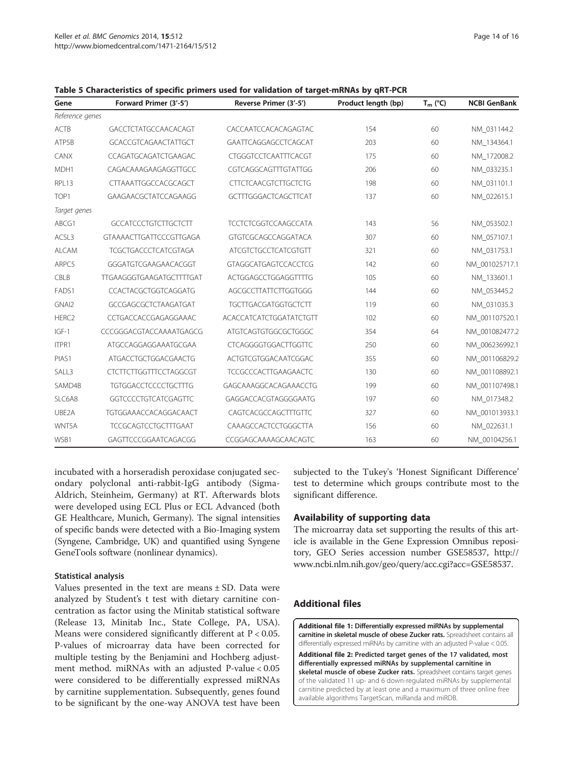| Gene              | Forward Primer (3'-5')         | Reverse Primer (3'-5')         | Product length (bp) | $T_m$ (°C) | <b>NCBI GenBank</b> |
|-------------------|--------------------------------|--------------------------------|---------------------|------------|---------------------|
| Reference genes   |                                |                                |                     |            |                     |
| ACTB              | GACCTCTATGCCAACACAGT           | CACCAATCCACACAGAGTAC           | 154                 | 60         | NM_031144.2         |
| ATP5B             | <b>GCACCGTCAGAACTATTGCT</b>    | GAATTCAGGAGCCTCAGCAT           | 203                 | 60         | NM 134364.1         |
| CANX              | CCAGATGCAGATCTGAAGAC           | <b>CTGGGTCCTCAATTTCACGT</b>    | 175                 | 60         | NM_172008.2         |
| MDH1              | CAGACAAAGAAGAGGTTGCC           | CGTCAGGCAGTTTGTATTGG           | 206                 | 60         | NM 033235.1         |
| RPL13             | CTTAAATTGGCCACGCAGCT           | <b>CTTCTCAACGTCTTGCTCTG</b>    | 198                 | 60         | NM_031101.1         |
| TOP <sub>1</sub>  | GAAGAACGCTATCCAGAAGG           | <b>GCTTTGGGACTCAGCTTCAT</b>    | 137                 | 60         | NM_022615.1         |
| Target genes      |                                |                                |                     |            |                     |
| ABCG1             | <b>GCCATCCCTGTCTTGCTCTT</b>    | <b>TCCTCTCGGTCCAAGCCATA</b>    | 143                 | 56         | NM_053502.1         |
| ACSL3             | <b>GTAAAACTTGATTCCCGTTGAGA</b> | GTGTCGCAGCCAGGATACA            | 307                 | 60         | NM_057107.1         |
| <b>ALCAM</b>      | <b>TCGCTGACCCTCATCGTAGA</b>    | <b>ATCGTCTGCCTCATCGTGTT</b>    | 321                 | 60         | NM 031753.1         |
| ARPC5             | GGGATGTCGAAGAACACGGT           | <b>GTAGGCATGAGTCCACCTCG</b>    | 142                 | 60         | NM_001025717.1      |
| CBLB              | TTGAAGGGTGAAGATGCTTTTGAT       | ACTGGAGCCTGGAGGTTTTG           | 105                 | 60         | NM 133601.1         |
| FADS1             | CCACTACGCTGGTCAGGATG           | AGCGCCTTATTCTTGGTGGG           | 144                 | 60         | NM_053445.2         |
| GNAI2             | GCCGAGCGCTCTAAGATGAT           | <b>TGCTTGACGATGGTGCTCTT</b>    | 119                 | 60         | NM_031035.3         |
| HERC <sub>2</sub> | CCTGACCACCGAGAGGAAAC           | <b>ACACCATCATCTGGATATCTGTT</b> | 102                 | 60         | NM 001107520.1      |
| $IGF-1$           | CCCGGGACGTACCAAAATGAGCG        | ATGTCAGTGTGGCGCTGGGC           | 354                 | 64         | NM_001082477.2      |
| ITPR1             | ATGCCAGGAGGAAATGCGAA           | <b>CTCAGGGGTGGACTTGGTTC</b>    | 250                 | 60         | NM 006236992.1      |
| PIAS1             | ATGACCTGCTGGACGAACTG           | ACTGTCGTGGACAATCGGAC           | 355                 | 60         | NM 001106829.2      |
| SALL3             | <b>CTCTTCTTGGTTTCCTAGGCGT</b>  | <b>TCCGCCCACTTGAAGAACTC</b>    | 130                 | 60         | NM 001108892.1      |
| SAMD4B            | <b>TGTGGACCTCCCCTGCTTTG</b>    | GAGCAAAGGCACAGAAACCTG          | 199                 | 60         | NM 001107498.1      |
| SLC6A8            | <b>GGTCCCCTGTCATCGAGTTC</b>    | GAGGACCACGTAGGGGAATG           | 197                 | 60         | NM_017348.2         |
| UBE2A             | <b>TGTGGAAACCACAGGACAACT</b>   | CAGTCACGCCAGCTTTGTTC           | 327                 | 60         | NM 001013933.1      |
| WNT5A             | <b>TCCGCAGTCCTGCTTTGAAT</b>    | CAAAGCCACTCCTGGGCTTA           | 156                 | 60         | NM_022631.1         |
| WSB1              | GAGTTCCCGGAATCAGACGG           | CCGGAGCAAAAGCAACAGTC           | 163                 | 60         | NM_00104256.1       |

<span id="page-13-0"></span>Table 5 Characteristics of specific primers used for validation of target-mRNAs by qRT-PCR

incubated with a horseradish peroxidase conjugated secondary polyclonal anti-rabbit-IgG antibody (Sigma-Aldrich, Steinheim, Germany) at RT. Afterwards blots were developed using ECL Plus or ECL Advanced (both GE Healthcare, Munich, Germany). The signal intensities of specific bands were detected with a Bio-Imaging system (Syngene, Cambridge, UK) and quantified using Syngene GeneTools software (nonlinear dynamics).

#### Statistical analysis

Values presented in the text are means  $\pm$  SD. Data were analyzed by Student's t test with dietary carnitine concentration as factor using the Minitab statistical software (Release 13, Minitab Inc., State College, PA, USA). Means were considered significantly different at  $P < 0.05$ . P-values of microarray data have been corrected for multiple testing by the Benjamini and Hochberg adjustment method. miRNAs with an adjusted P-value < 0.05 were considered to be differentially expressed miRNAs by carnitine supplementation. Subsequently, genes found to be significant by the one-way ANOVA test have been

subjected to the Tukey's 'Honest Significant Difference' test to determine which groups contribute most to the significant difference.

#### Availability of supporting data

The microarray data set supporting the results of this article is available in the Gene Expression Omnibus repository, GEO Series accession number GSE58537, [http://](http://www.ncbi.nlm.nih.gov/geo/query/acc.cgi?acc=GSE58537) [www.ncbi.nlm.nih.gov/geo/query/acc.cgi?acc=GSE58537.](http://www.ncbi.nlm.nih.gov/geo/query/acc.cgi?acc=GSE58537)

#### Additional files

[Additional file 1:](http://www.biomedcentral.com/content/supplementary/1471-2164-15-512-S1.xlsx) Differentially expressed miRNAs by supplemental carnitine in skeletal muscle of obese Zucker rats. Spreadsheet contains all differentially expressed miRNAs by carnitine with an adjusted P-value < 0.05.

[Additional file 2:](http://www.biomedcentral.com/content/supplementary/1471-2164-15-512-S2.docx) Predicted target genes of the 17 validated, most differentially expressed miRNAs by supplemental carnitine in skeletal muscle of obese Zucker rats. Spreadsheet contains target genes of the validated 11 up- and 6 down-regulated miRNAs by supplemental carnitine predicted by at least one and a maximum of three online free available algorithms TargetScan, miRanda and miRDB.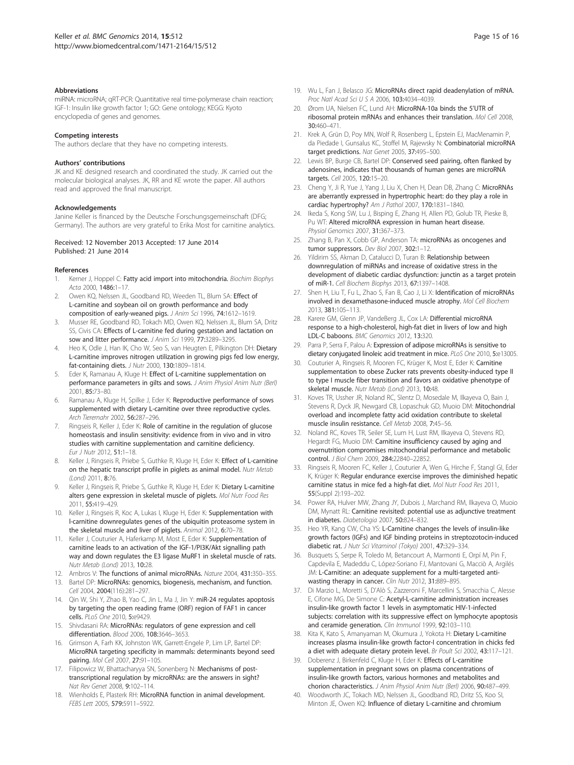#### <span id="page-14-0"></span>**Abbreviations**

miRNA: microRNA; qRT-PCR: Quantitative real time-polymerase chain reaction; IGF-1: Insulin like growth factor 1; GO: Gene ontology; KEGG: Kyoto encyclopedia of genes and genomes.

#### Competing interests

The authors declare that they have no competing interests.

#### Authors' contributions

JK and KE designed research and coordinated the study. JK carried out the molecular biological analyses. JK, RR and KE wrote the paper. All authors read and approved the final manuscript.

#### Acknowledgements

Janine Keller is financed by the Deutsche Forschungsgemeinschaft (DFG; Germany). The authors are very grateful to Erika Most for carnitine analytics.

#### Received: 12 November 2013 Accepted: 17 June 2014 Published: 21 June 2014

#### References

- 1. Kerner J, Hoppel C: Fatty acid import into mitochondria. Biochim Biophys Acta 2000, 1486:1–17.
- 2. Owen KQ, Nelssen JL, Goodband RD, Weeden TL, Blum SA: Effect of L-carnitine and soybean oil on growth performance and body composition of early-weaned pigs. J Anim Sci 1996, 74:1612–1619.
- 3. Musser RE, Goodband RD, Tokach MD, Owen KQ, Nelssen JL, Blum SA, Dritz SS, Civis CA: Effects of L-carnitine fed during gestation and lactation on sow and litter performance. J Anim Sci 1999, 77:3289–3295.
- 4. Heo K, Odle J, Han IK, Cho W, Seo S, van Heugten E, Pilkington DH: Dietary L-carnitine improves nitrogen utilization in growing pigs fed low energy, fat-containing diets. J Nutr 2000, 130:1809–1814.
- Eder K, Ramanau A, Kluge H: Effect of L-carnitine supplementation on performance parameters in gilts and sows. J Anim Physiol Anim Nutr (Berl) 2001, 85:73–80.
- 6. Ramanau A, Kluge H, Spilke J, Eder K: Reproductive performance of sows supplemented with dietary L-carnitine over three reproductive cycles. Arch Tierernahr 2002, 56:287–296.
- 7. Ringseis R, Keller J, Eder K: Role of carnitine in the regulation of glucose homeostasis and insulin sensitivity: evidence from in vivo and in vitro studies with carnitine supplementation and carnitine deficiency. Eur J Nutr 2012, 51:1–18.
- 8. Keller J, Ringseis R, Priebe S, Guthke R, Kluge H, Eder K: Effect of L-carnitine on the hepatic transcript profile in piglets as animal model. Nutr Metab (Lond) 2011, 8:76.
- Keller J, Ringseis R, Priebe S, Guthke R, Kluge H, Eder K: Dietary L-carnitine alters gene expression in skeletal muscle of piglets. Mol Nutr Food Res 2011, 55:419–429.
- 10. Keller J, Ringseis R, Koc A, Lukas I, Kluge H, Eder K: Supplementation with l-carnitine downregulates genes of the ubiquitin proteasome system in the skeletal muscle and liver of piglets. Animal 2012, 6:70-78.
- 11. Keller J, Couturier A, Haferkamp M, Most E, Eder K: Supplementation of carnitine leads to an activation of the IGF-1/PI3K/Akt signalling path way and down regulates the E3 ligase MuRF1 in skeletal muscle of rats. Nutr Metab (Lond) 2013, 10:28.
- 12. Ambros V: The functions of animal microRNAs. Nature 2004, 431:350-355.
- 13. Bartel DP: MicroRNAs: genomics, biogenesis, mechanism, and function. Cell 2004, 2004(116):281–297.
- 14. Qin W, Shi Y, Zhao B, Yao C, Jin L, Ma J, Jin Y: miR-24 regulates apoptosis by targeting the open reading frame (ORF) region of FAF1 in cancer cells. PLoS One 2010, 5:e9429.
- 15. Shivdasani RA: MicroRNAs: regulators of gene expression and cell differentiation. Blood 2006, 108:3646–3653.
- 16. Grimson A, Farh KK, Johnston WK, Garrett-Engele P, Lim LP, Bartel DP: MicroRNA targeting specificity in mammals: determinants beyond seed pairing. Mol Cell 2007, 27:91–105.
- 17. Filipowicz W, Bhattacharyya SN, Sonenberg N: Mechanisms of posttranscriptional regulation by microRNAs: are the answers in sight? Nat Rev Genet 2008, 9:102–114.
- 18. Wienholds E, Plasterk RH: MicroRNA function in animal development. FEBS Lett 2005, 579:5911–5922.
- 19. Wu L, Fan J, Belasco JG: MicroRNAs direct rapid deadenylation of mRNA. Proc Natl Acad Sci U S A 2006, 103:4034–4039.
- 20. Ørom UA, Nielsen FC, Lund AH: MicroRNA-10a binds the 5'UTR of ribosomal protein mRNAs and enhances their translation. Mol Cell 2008, 30:460–471.
- 21. Krek A, Grün D, Poy MN, Wolf R, Rosenberg L, Epstein EJ, MacMenamin P, da Piedade I, Gunsalus KC, Stoffel M, Rajewsky N: Combinatorial microRNA target predictions. Nat Genet 2005, 37:495–500.
- 22. Lewis BP, Burge CB, Bartel DP: Conserved seed pairing, often flanked by adenosines, indicates that thousands of human genes are microRNA targets. Cell 2005, 120:15-20.
- 23. Cheng Y, Ji R, Yue J, Yang J, Liu X, Chen H, Dean DB, Zhang C: MicroRNAs are aberrantly expressed in hypertrophic heart: do they play a role in cardiac hypertrophy? Am J Pathol 2007, 170:1831-1840.
- 24. Ikeda S, Kong SW, Lu J, Bisping E, Zhang H, Allen PD, Golub TR, Pieske B, Pu WT: Altered microRNA expression in human heart disease. Physiol Genomics 2007, 31:367–373.
- 25. Zhang B, Pan X, Cobb GP, Anderson TA: microRNAs as oncogenes and tumor suppressors. Dev Biol 2007, 302:1-12.
- 26. Yildirim SS, Akman D, Catalucci D, Turan B: Relationship between downregulation of miRNAs and increase of oxidative stress in the development of diabetic cardiac dysfunction: junctin as a target protein of miR-1. Cell Biochem Biophys 2013, 67:1397–1408.
- 27. Shen H, Liu T, Fu L, Zhao S, Fan B, Cao J, Li X: Identification of microRNAs involved in dexamethasone-induced muscle atrophy. Mol Cell Biochem 2013, 381:105–113.
- 28. Karere GM, Glenn JP, VandeBerg JL, Cox LA: Differential microRNA response to a high-cholesterol, high-fat diet in livers of low and high LDL-C baboons. BMC Genomics 2012, 13:320.
- 29. Parra P, Serra F, Palou A: Expression of adipose microRNAs is sensitive to dietary conjugated linoleic acid treatment in mice. PLoS One 2010, 5:e13005.
- 30. Couturier A, Ringseis R, Mooren FC, Krüger K, Most E, Eder K: Carnitine supplementation to obese Zucker rats prevents obesity-induced type II to type I muscle fiber transition and favors an oxidative phenotype of skeletal muscle. Nutr Metab (Lond) 2013, 10:48.
- 31. Koves TR, Ussher JR, Noland RC, Slentz D, Mosedale M, Ilkayeva O, Bain J, Stevens R, Dyck JR, Newgard CB, Lopaschuk GD, Muoio DM: Mitochondrial overload and incomplete fatty acid oxidation contribute to skeletal muscle insulin resistance. Cell Metab 2008, 7:45-56.
- 32. Noland RC, Koves TR, Seiler SE, Lum H, Lust RM, Ilkayeva O, Stevens RD, Hegardt FG, Muoio DM: Carnitine insufficiency caused by aging and overnutrition compromises mitochondrial performance and metabolic control. J Biol Chem 2009, 284:22840–22852.
- 33. Ringseis R, Mooren FC, Keller J, Couturier A, Wen G, Hirche F, Stangl GI, Eder K, Krüger K: Regular endurance exercise improves the diminished hepatic carnitine status in mice fed a high-fat diet. Mol Nutr Food Res 2011, 55(Suppl 2):193–202.
- 34. Power RA, Hulver MW, Zhang JY, Dubois J, Marchand RM, Ilkayeva O, Muoio DM, Mynatt RL: Carnitine revisited: potential use as adjunctive treatment in diabetes. Diabetologia 2007, 50:824–832.
- 35. Heo YR, Kang CW, Cha YS: L-Carnitine changes the levels of insulin-like growth factors (IGFs) and IGF binding proteins in streptozotocin-induced diabetic rat. J Nutr Sci Vitaminol (Tokyo) 2001, 47:329–334.
- 36. Busquets S, Serpe R, Toledo M, Betancourt A, Marmonti E, Orpí M, Pin F, Capdevila E, Madeddu C, López-Soriano FJ, Mantovani G, Macciò A, Argilés JM: L-Carnitine: an adequate supplement for a multi-targeted antiwasting therapy in cancer. Clin Nutr 2012, 31:889-895.
- 37. Di Marzio L, Moretti S, D'Alò S, Zazzeroni F, Marcellini S, Smacchia C, Alesse E, Cifone MG, De Simone C: Acetyl-L-carnitine administration increases insulin-like growth factor 1 levels in asymptomatic HIV-1-infected subjects: correlation with its suppressive effect on lymphocyte apoptosis and ceramide generation. Clin Immunol 1999, 92:103-110.
- 38. Kita K, Kato S, Amanyaman M, Okumura J, Yokota H: Dietary L-carnitine increases plasma insulin-like growth factor-I concentration in chicks fed a diet with adequate dietary protein level. Br Poult Sci 2002, 43:117–121.
- 39. Doberenz J, Birkenfeld C, Kluge H, Eder K: Effects of L-carnitine supplementation in pregnant sows on plasma concentrations of insulin-like growth factors, various hormones and metabolites and chorion characteristics. J Anim Physiol Anim Nutr (Berl) 2006, 90:487–499.
- 40. Woodworth JC, Tokach MD, Nelssen JL, Goodband RD, Dritz SS, Koo SI, Minton JE, Owen KQ: Influence of dietary L-carnitine and chromium